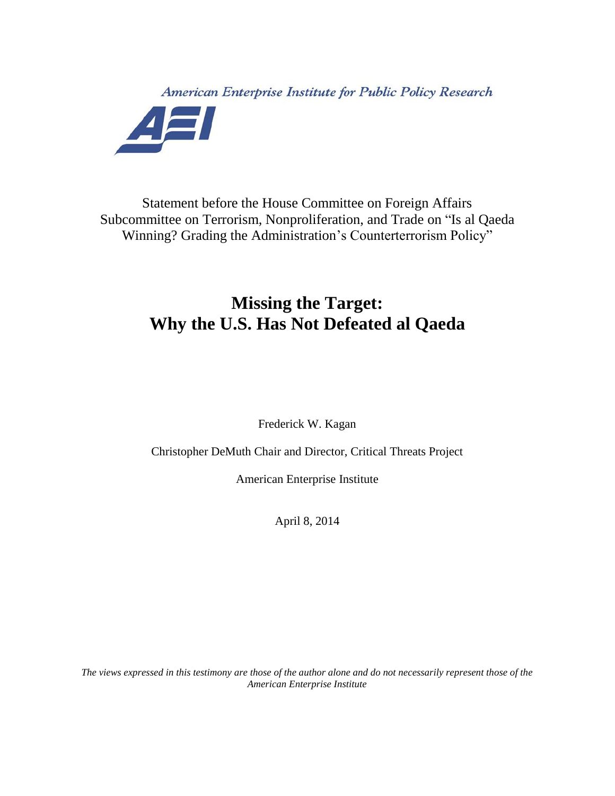American Enterprise Institute for Public Policy Research AEI

Statement before the House Committee on Foreign Affairs Subcommittee on Terrorism, Nonproliferation, and Trade on "Is al Qaeda Winning? Grading the Administration's Counterterrorism Policy"

## **Missing the Target: Why the U.S. Has Not Defeated al Qaeda**

Frederick W. Kagan

Christopher DeMuth Chair and Director, Critical Threats Project

American Enterprise Institute

April 8, 2014

*The views expressed in this testimony are those of the author alone and do not necessarily represent those of the American Enterprise Institute*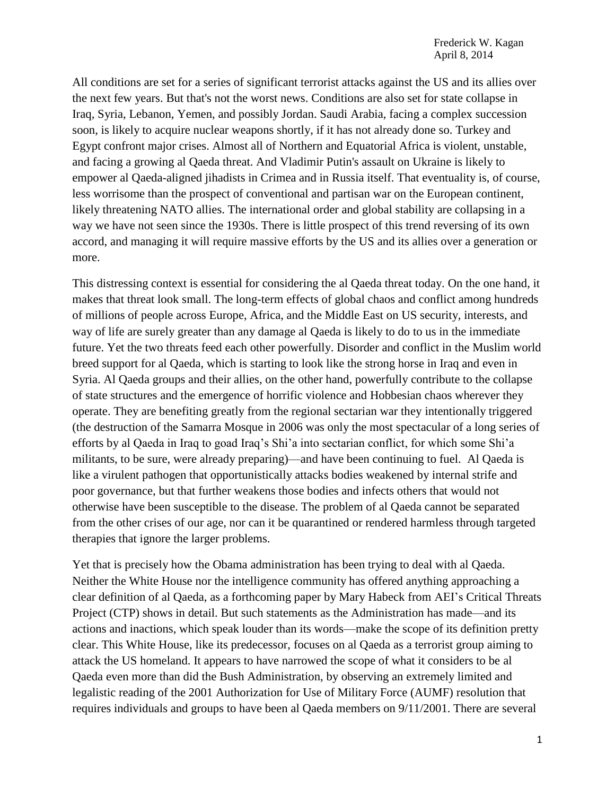All conditions are set for a series of significant terrorist attacks against the US and its allies over the next few years. But that's not the worst news. Conditions are also set for state collapse in Iraq, Syria, Lebanon, Yemen, and possibly Jordan. Saudi Arabia, facing a complex succession soon, is likely to acquire nuclear weapons shortly, if it has not already done so. Turkey and Egypt confront major crises. Almost all of Northern and Equatorial Africa is violent, unstable, and facing a growing al Qaeda threat. And Vladimir Putin's assault on Ukraine is likely to empower al Qaeda-aligned jihadists in Crimea and in Russia itself. That eventuality is, of course, less worrisome than the prospect of conventional and partisan war on the European continent, likely threatening NATO allies. The international order and global stability are collapsing in a way we have not seen since the 1930s. There is little prospect of this trend reversing of its own accord, and managing it will require massive efforts by the US and its allies over a generation or more.

This distressing context is essential for considering the al Qaeda threat today. On the one hand, it makes that threat look small. The long-term effects of global chaos and conflict among hundreds of millions of people across Europe, Africa, and the Middle East on US security, interests, and way of life are surely greater than any damage al Qaeda is likely to do to us in the immediate future. Yet the two threats feed each other powerfully. Disorder and conflict in the Muslim world breed support for al Qaeda, which is starting to look like the strong horse in Iraq and even in Syria. Al Qaeda groups and their allies, on the other hand, powerfully contribute to the collapse of state structures and the emergence of horrific violence and Hobbesian chaos wherever they operate. They are benefiting greatly from the regional sectarian war they intentionally triggered (the destruction of the Samarra Mosque in 2006 was only the most spectacular of a long series of efforts by al Qaeda in Iraq to goad Iraq's Shi'a into sectarian conflict, for which some Shi'a militants, to be sure, were already preparing)—and have been continuing to fuel. Al Qaeda is like a virulent pathogen that opportunistically attacks bodies weakened by internal strife and poor governance, but that further weakens those bodies and infects others that would not otherwise have been susceptible to the disease. The problem of al Qaeda cannot be separated from the other crises of our age, nor can it be quarantined or rendered harmless through targeted therapies that ignore the larger problems.

Yet that is precisely how the Obama administration has been trying to deal with al Qaeda. Neither the White House nor the intelligence community has offered anything approaching a clear definition of al Qaeda, as a forthcoming paper by Mary Habeck from AEI's Critical Threats Project (CTP) shows in detail. But such statements as the Administration has made—and its actions and inactions, which speak louder than its words—make the scope of its definition pretty clear. This White House, like its predecessor, focuses on al Qaeda as a terrorist group aiming to attack the US homeland. It appears to have narrowed the scope of what it considers to be al Qaeda even more than did the Bush Administration, by observing an extremely limited and legalistic reading of the 2001 Authorization for Use of Military Force (AUMF) resolution that requires individuals and groups to have been al Qaeda members on 9/11/2001. There are several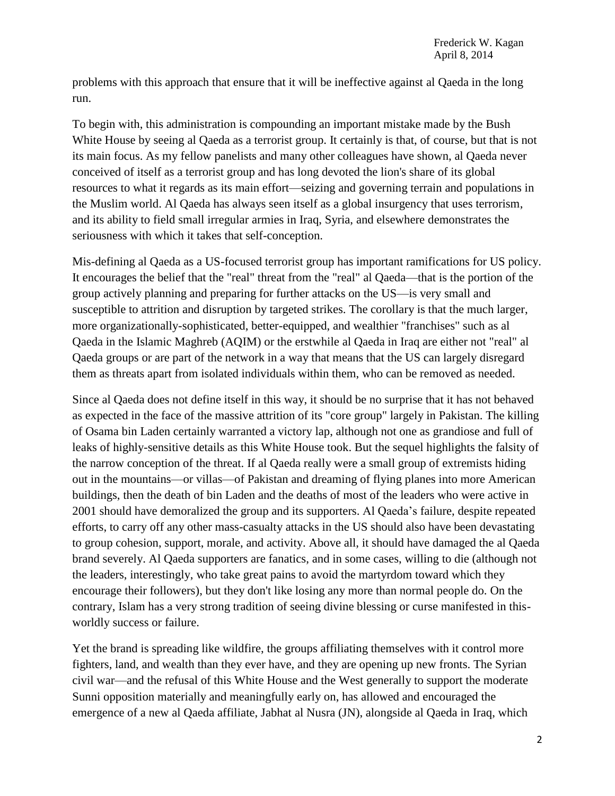problems with this approach that ensure that it will be ineffective against al Qaeda in the long run.

To begin with, this administration is compounding an important mistake made by the Bush White House by seeing al Qaeda as a terrorist group. It certainly is that, of course, but that is not its main focus. As my fellow panelists and many other colleagues have shown, al Qaeda never conceived of itself as a terrorist group and has long devoted the lion's share of its global resources to what it regards as its main effort—seizing and governing terrain and populations in the Muslim world. Al Qaeda has always seen itself as a global insurgency that uses terrorism, and its ability to field small irregular armies in Iraq, Syria, and elsewhere demonstrates the seriousness with which it takes that self-conception.

Mis-defining al Qaeda as a US-focused terrorist group has important ramifications for US policy. It encourages the belief that the "real" threat from the "real" al Qaeda—that is the portion of the group actively planning and preparing for further attacks on the US—is very small and susceptible to attrition and disruption by targeted strikes. The corollary is that the much larger, more organizationally-sophisticated, better-equipped, and wealthier "franchises" such as al Qaeda in the Islamic Maghreb (AQIM) or the erstwhile al Qaeda in Iraq are either not "real" al Qaeda groups or are part of the network in a way that means that the US can largely disregard them as threats apart from isolated individuals within them, who can be removed as needed.

Since al Qaeda does not define itself in this way, it should be no surprise that it has not behaved as expected in the face of the massive attrition of its "core group" largely in Pakistan. The killing of Osama bin Laden certainly warranted a victory lap, although not one as grandiose and full of leaks of highly-sensitive details as this White House took. But the sequel highlights the falsity of the narrow conception of the threat. If al Qaeda really were a small group of extremists hiding out in the mountains—or villas—of Pakistan and dreaming of flying planes into more American buildings, then the death of bin Laden and the deaths of most of the leaders who were active in 2001 should have demoralized the group and its supporters. Al Qaeda's failure, despite repeated efforts, to carry off any other mass-casualty attacks in the US should also have been devastating to group cohesion, support, morale, and activity. Above all, it should have damaged the al Qaeda brand severely. Al Qaeda supporters are fanatics, and in some cases, willing to die (although not the leaders, interestingly, who take great pains to avoid the martyrdom toward which they encourage their followers), but they don't like losing any more than normal people do. On the contrary, Islam has a very strong tradition of seeing divine blessing or curse manifested in thisworldly success or failure.

Yet the brand is spreading like wildfire, the groups affiliating themselves with it control more fighters, land, and wealth than they ever have, and they are opening up new fronts. The Syrian civil war—and the refusal of this White House and the West generally to support the moderate Sunni opposition materially and meaningfully early on, has allowed and encouraged the emergence of a new al Qaeda affiliate, Jabhat al Nusra (JN), alongside al Qaeda in Iraq, which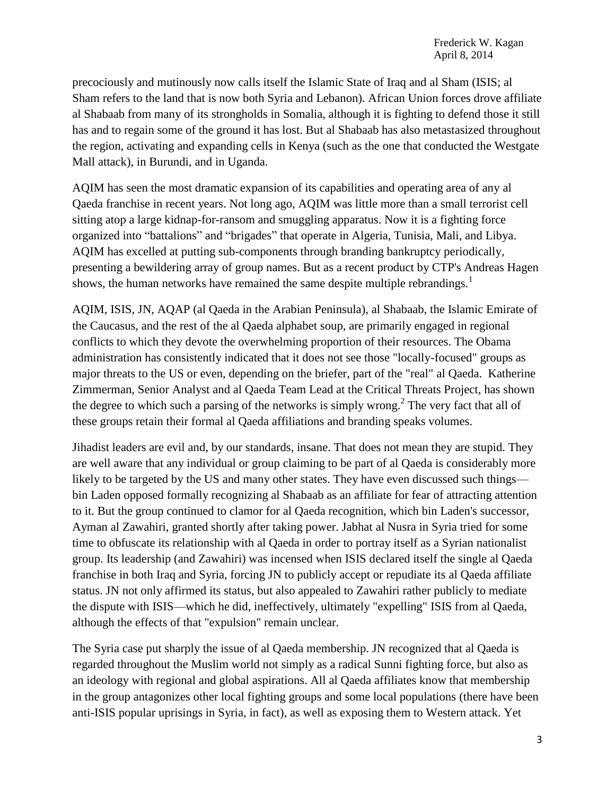precociously and mutinously now calls itself the Islamic State of Iraq and al Sham (ISIS; al Sham refers to the land that is now both Syria and Lebanon). African Union forces drove affiliate al Shabaab from many of its strongholds in Somalia, although it is fighting to defend those it still has and to regain some of the ground it has lost. But al Shabaab has also metastasized throughout the region, activating and expanding cells in Kenya (such as the one that conducted the Westgate Mall attack), in Burundi, and in Uganda.

AQIM has seen the most dramatic expansion of its capabilities and operating area of any al Qaeda franchise in recent years. Not long ago, AQIM was little more than a small terrorist cell sitting atop a large kidnap-for-ransom and smuggling apparatus. Now it is a fighting force organized into "battalions" and "brigades" that operate in Algeria, Tunisia, Mali, and Libya. AQIM has excelled at putting sub-components through branding bankruptcy periodically, presenting a bewildering array of group names. But as a recent product by CTP's Andreas Hagen shows, the human networks have remained the same despite multiple rebrandings.<sup>1</sup>

AQIM, ISIS, JN, AQAP (al Qaeda in the Arabian Peninsula), al Shabaab, the Islamic Emirate of the Caucasus, and the rest of the al Qaeda alphabet soup, are primarily engaged in regional conflicts to which they devote the overwhelming proportion of their resources. The Obama administration has consistently indicated that it does not see those "locally-focused" groups as major threats to the US or even, depending on the briefer, part of the "real" al Qaeda. Katherine Zimmerman, Senior Analyst and al Qaeda Team Lead at the Critical Threats Project, has shown the degree to which such a parsing of the networks is simply wrong.<sup>2</sup> The very fact that all of these groups retain their formal al Qaeda affiliations and branding speaks volumes.

Jihadist leaders are evil and, by our standards, insane. That does not mean they are stupid. They are well aware that any individual or group claiming to be part of al Qaeda is considerably more likely to be targeted by the US and many other states. They have even discussed such things bin Laden opposed formally recognizing al Shabaab as an affiliate for fear of attracting attention to it. But the group continued to clamor for al Qaeda recognition, which bin Laden's successor, Ayman al Zawahiri, granted shortly after taking power. Jabhat al Nusra in Syria tried for some time to obfuscate its relationship with al Qaeda in order to portray itself as a Syrian nationalist group. Its leadership (and Zawahiri) was incensed when ISIS declared itself the single al Qaeda franchise in both Iraq and Syria, forcing JN to publicly accept or repudiate its al Qaeda affiliate status. JN not only affirmed its status, but also appealed to Zawahiri rather publicly to mediate the dispute with ISIS—which he did, ineffectively, ultimately "expelling" ISIS from al Qaeda, although the effects of that "expulsion" remain unclear.

The Syria case put sharply the issue of al Qaeda membership. JN recognized that al Qaeda is regarded throughout the Muslim world not simply as a radical Sunni fighting force, but also as an ideology with regional and global aspirations. All al Qaeda affiliates know that membership in the group antagonizes other local fighting groups and some local populations (there have been anti-ISIS popular uprisings in Syria, in fact), as well as exposing them to Western attack. Yet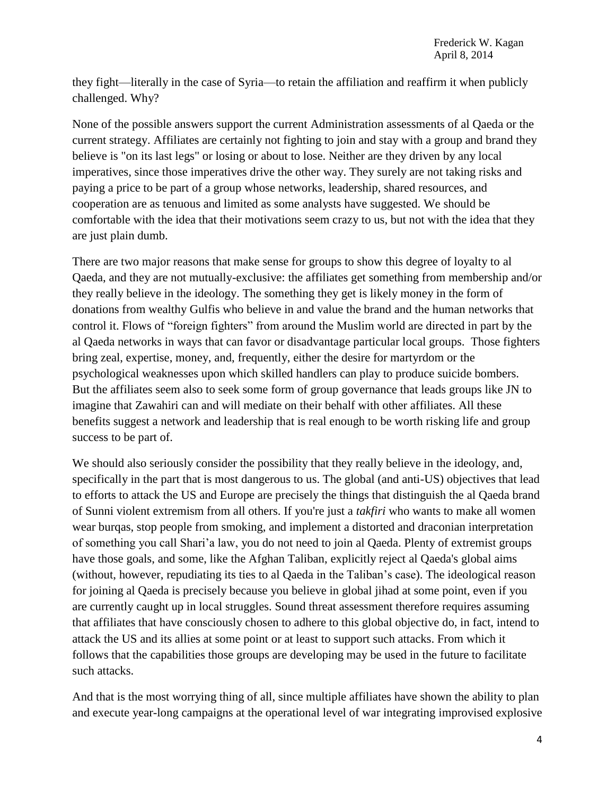they fight—literally in the case of Syria—to retain the affiliation and reaffirm it when publicly challenged. Why?

None of the possible answers support the current Administration assessments of al Qaeda or the current strategy. Affiliates are certainly not fighting to join and stay with a group and brand they believe is "on its last legs" or losing or about to lose. Neither are they driven by any local imperatives, since those imperatives drive the other way. They surely are not taking risks and paying a price to be part of a group whose networks, leadership, shared resources, and cooperation are as tenuous and limited as some analysts have suggested. We should be comfortable with the idea that their motivations seem crazy to us, but not with the idea that they are just plain dumb.

There are two major reasons that make sense for groups to show this degree of loyalty to al Qaeda, and they are not mutually-exclusive: the affiliates get something from membership and/or they really believe in the ideology. The something they get is likely money in the form of donations from wealthy Gulfis who believe in and value the brand and the human networks that control it. Flows of "foreign fighters" from around the Muslim world are directed in part by the al Qaeda networks in ways that can favor or disadvantage particular local groups. Those fighters bring zeal, expertise, money, and, frequently, either the desire for martyrdom or the psychological weaknesses upon which skilled handlers can play to produce suicide bombers. But the affiliates seem also to seek some form of group governance that leads groups like JN to imagine that Zawahiri can and will mediate on their behalf with other affiliates. All these benefits suggest a network and leadership that is real enough to be worth risking life and group success to be part of.

We should also seriously consider the possibility that they really believe in the ideology, and, specifically in the part that is most dangerous to us. The global (and anti-US) objectives that lead to efforts to attack the US and Europe are precisely the things that distinguish the al Qaeda brand of Sunni violent extremism from all others. If you're just a *takfiri* who wants to make all women wear burqas, stop people from smoking, and implement a distorted and draconian interpretation of something you call Shari'a law, you do not need to join al Qaeda. Plenty of extremist groups have those goals, and some, like the Afghan Taliban, explicitly reject al Qaeda's global aims (without, however, repudiating its ties to al Qaeda in the Taliban's case). The ideological reason for joining al Qaeda is precisely because you believe in global jihad at some point, even if you are currently caught up in local struggles. Sound threat assessment therefore requires assuming that affiliates that have consciously chosen to adhere to this global objective do, in fact, intend to attack the US and its allies at some point or at least to support such attacks. From which it follows that the capabilities those groups are developing may be used in the future to facilitate such attacks.

And that is the most worrying thing of all, since multiple affiliates have shown the ability to plan and execute year-long campaigns at the operational level of war integrating improvised explosive